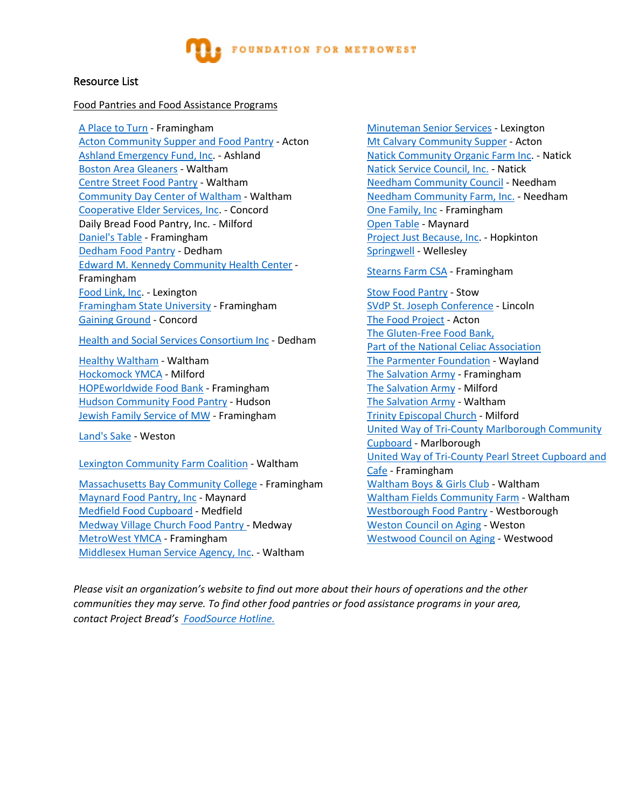

# Resource List

#### Food Pantries and Food Assistance Programs

A Place to Turn - Framingham Minuteman Senior Services - Lexington Acton Community Supper and Food Pantry - Acton Mt Calvary Community Supper - Acton Ashland Emergency Fund, Inc. - Ashland Nation Natick Community Organic Farm Inc. - Natick Boston Area Gleaners - Waltham Nation Area Gleaners - Waltham National Matick Service Council, Inc. - Natick Centre Street Food Pantry - Waltham Needham Needham Community Council - Needham Community Day Center of Waltham - Waltham Needham Community Farm, Inc. - Needham Cooperative Elder Services, Inc. - Concord One Family, Inc - Framingham Daily Bread Food Pantry, Inc. - Milford Channel Communist Copen Table - Maynard Daniel's Table - Framingham Project Just Because, Inc. - Hopkinton Dedham Food Pantry - Dedham Springwell - Wellesley Edward M. Kennedy Community Health Center - Education Research Community Health Benedict Property Stearns Farm CSA - Framingham Framingham Food Link, Inc. - Lexington Stow Food Pantry - Stow Food Pantry - Stow Framingham State University - Framingham SVdP St. Joseph Conference - Lincoln Gaining Ground - Concord Concord Constanting Ground - Concord Constanting Constanting Constanting Constanting Constanting Constanting Constanting Constanting Constanting Constanting Constanting Constanting Constanting Cons

Health and Social Services Consortium Inc - Dedham The Gluten-Free Food Bank,

Healthy Waltham - Waltham The Parmenter Foundation - Wayland Hockomock YMCA - Milford The Salvation Army - Framingham HOPEworldwide Food Bank - Framingham The Salvation Army - Milford Hudson Community Food Pantry - Hudson The Salvation Army - Waltham Jewish Family Service of MW - Framingham Trinity Episcopal Church - Milford

Massachusetts Bay Community College - Framingham Waltham Boys & Girls Club - Waltham Maynard Food Pantry, Inc - Maynard Waltham Fields Community Farm - Waltham Medfield Food Cupboard - Medfield Westborough Food Pantry - Westborough Medway Village Church Food Pantry - Medway Weston Council on Aging - Weston MetroWest YMCA - Framingham Westwood Council on Aging - Westwood Middlesex Human Service Agency, Inc. - Waltham

Part of the National Celiac Association Land's Sake - Weston **United Way of Tri-County Marlborough Community** Cupboard - Marlborough Lexington Community Farm Coalition - Waltham United Way of Tri-County Pearl Street Cupboard and Cafe - Framingham

*Please visit an organization's website to find out more about their hours of operations and the other communities they may serve. To find other food pantries or food assistance programs in your area, contact Project Bread's FoodSource Hotline.*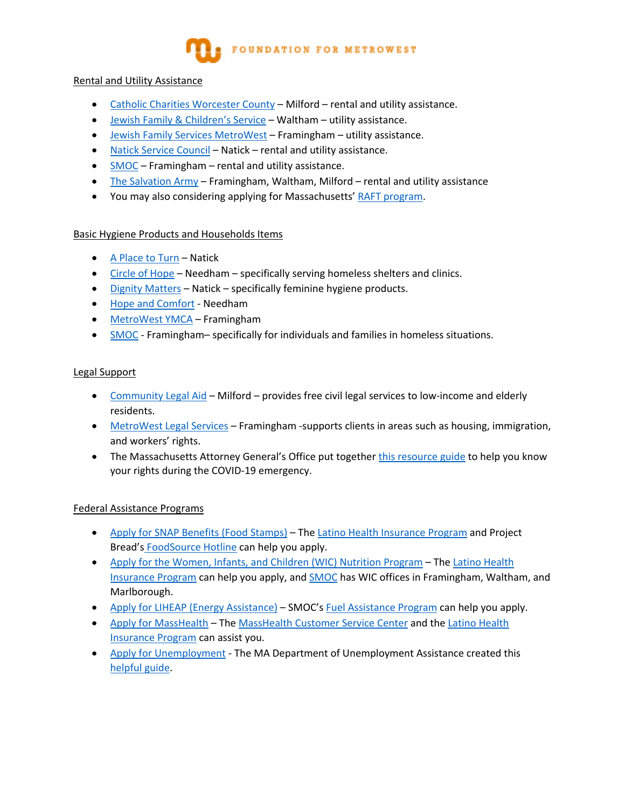# FOUNDATION FOR METROWEST

# Rental and Utility Assistance

- Catholic Charities Worcester County Milford rental and utility assistance.
- Jewish Family & Children's Service Waltham utility assistance.
- Jewish Family Services MetroWest Framingham utility assistance.
- Natick Service Council Natick rental and utility assistance.
- SMOC Framingham rental and utility assistance.
- The Salvation Army Framingham, Waltham, Milford rental and utility assistance
- You may also considering applying for Massachusetts' RAFT program.

# Basic Hygiene Products and Households Items

- A Place to Turn Natick
- Circle of Hope Needham specifically serving homeless shelters and clinics.
- Dignity Matters Natick specifically feminine hygiene products.
- Hope and Comfort Needham
- MetroWest YMCA Framingham
- SMOC Framingham– specifically for individuals and families in homeless situations.

# Legal Support

- Community Legal Aid Milford provides free civil legal services to low-income and elderly residents.
- MetroWest Legal Services Framingham -supports clients in areas such as housing, immigration, and workers' rights.
- The Massachusetts Attorney General's Office put together this resource guide to help you know your rights during the COVID-19 emergency.

# Federal Assistance Programs

- Apply for SNAP Benefits (Food Stamps) The Latino Health Insurance Program and Project Bread's FoodSource Hotline can help you apply.
- Apply for the Women, Infants, and Children (WIC) Nutrition Program The Latino Health Insurance Program can help you apply, and SMOC has WIC offices in Framingham, Waltham, and Marlborough.
- Apply for LIHEAP (Energy Assistance) SMOC's Fuel Assistance Program can help you apply.
- Apply for MassHealth The MassHealth Customer Service Center and the Latino Health Insurance Program can assist you.
- Apply for Unemployment The MA Department of Unemployment Assistance created this helpful guide.